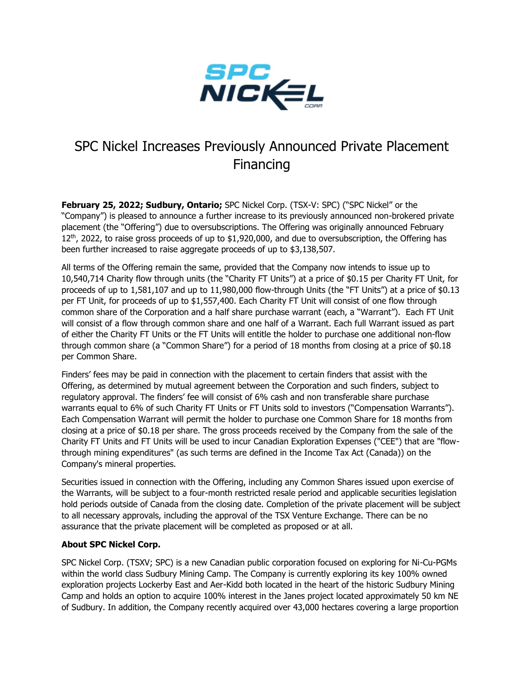

## SPC Nickel Increases Previously Announced Private Placement Financing

**February 25, 2022; Sudbury, Ontario;** SPC Nickel Corp. (TSX-V: SPC) ("SPC Nickel" or the "Company") is pleased to announce a further increase to its previously announced non-brokered private placement (the "Offering") due to oversubscriptions. The Offering was originally announced February 12<sup>th</sup>, 2022, to raise gross proceeds of up to \$1,920,000, and due to oversubscription, the Offering has been further increased to raise aggregate proceeds of up to \$3,138,507.

All terms of the Offering remain the same, provided that the Company now intends to issue up to 10,540,714 Charity flow through units (the "Charity FT Units") at a price of \$0.15 per Charity FT Unit, for proceeds of up to 1,581,107 and up to 11,980,000 flow-through Units (the "FT Units") at a price of \$0.13 per FT Unit, for proceeds of up to \$1,557,400. Each Charity FT Unit will consist of one flow through common share of the Corporation and a half share purchase warrant (each, a "Warrant"). Each FT Unit will consist of a flow through common share and one half of a Warrant. Each full Warrant issued as part of either the Charity FT Units or the FT Units will entitle the holder to purchase one additional non-flow through common share (a "Common Share") for a period of 18 months from closing at a price of \$0.18 per Common Share.

Finders' fees may be paid in connection with the placement to certain finders that assist with the Offering, as determined by mutual agreement between the Corporation and such finders, subject to regulatory approval. The finders' fee will consist of 6% cash and non transferable share purchase warrants equal to 6% of such Charity FT Units or FT Units sold to investors ("Compensation Warrants"). Each Compensation Warrant will permit the holder to purchase one Common Share for 18 months from closing at a price of \$0.18 per share. The gross proceeds received by the Company from the sale of the Charity FT Units and FT Units will be used to incur Canadian Exploration Expenses ("CEE") that are "flowthrough mining expenditures" (as such terms are defined in the Income Tax Act (Canada)) on the Company's mineral properties.

Securities issued in connection with the Offering, including any Common Shares issued upon exercise of the Warrants, will be subject to a four-month restricted resale period and applicable securities legislation hold periods outside of Canada from the closing date. Completion of the private placement will be subject to all necessary approvals, including the approval of the TSX Venture Exchange. There can be no assurance that the private placement will be completed as proposed or at all.

## **About SPC Nickel Corp.**

SPC Nickel Corp. (TSXV; SPC) is a new Canadian public corporation focused on exploring for Ni-Cu-PGMs within the world class Sudbury Mining Camp. The Company is currently exploring its key 100% owned exploration projects Lockerby East and Aer-Kidd both located in the heart of the historic Sudbury Mining Camp and holds an option to acquire 100% interest in the Janes project located approximately 50 km NE of Sudbury. In addition, the Company recently acquired over 43,000 hectares covering a large proportion